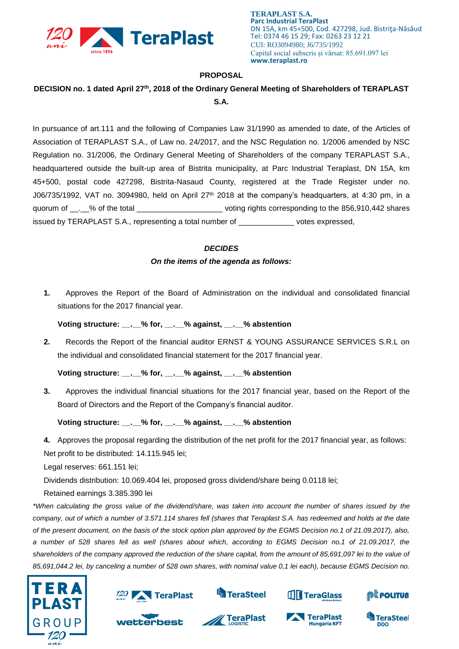

**TERAPLAST S.A. Parc Industrial TeraPlast** DN 15A, km 45+500, Cod. 427298, Jud. Bistriţa-Năsăud Tel: 0374 46 15 29; Fax: 0263 23 12 21 CUI: RO3094980; J6/735/1992 Capital social subscris și vărsat: 85.691.097 lei **www.teraplast.ro**

## **PROPOSAL**

## **DECISION no. 1 dated April 27 th , 2018 of the Ordinary General Meeting of Shareholders of TERAPLAST S.A.**

In pursuance of art.111 and the following of Companies Law 31/1990 as amended to date, of the Articles of Association of TERAPLAST S.A., of Law no. 24/2017, and the NSC Regulation no. 1/2006 amended by NSC Regulation no. 31/2006, the Ordinary General Meeting of Shareholders of the company TERAPLAST S.A., headquartered outside the built-up area of Bistrita municipality, at Parc Industrial Teraplast, DN 15A, km 45+500, postal code 427298, Bistrita-Nasaud County, registered at the Trade Register under no. J06/735/1992, VAT no. 3094980, held on April 27<sup>th</sup> 2018 at the company's headquarters, at 4:30 pm, in a quorum of \_\_.\_\_% of the total \_\_\_\_\_\_\_\_\_\_\_\_\_\_\_\_\_\_\_\_\_\_\_\_\_\_\_voting rights corresponding to the 856,910,442 shares issued by TERAPLAST S.A., representing a total number of \_\_\_\_\_\_\_\_\_\_\_\_\_ votes expressed,

## *DECIDES*

## *On the items of the agenda as follows:*

**1.** Approves the Report of the Board of Administration on the individual and consolidated financial situations for the 2017 financial year.

**Voting structure: \_\_.\_\_% for, \_\_.\_\_% against, \_\_.\_\_% abstention**

**2.** Records the Report of the financial auditor ERNST & YOUNG ASSURANCE SERVICES S.R.L on the individual and consolidated financial statement for the 2017 financial year.

**Voting structure: \_\_.\_\_% for, \_\_.\_\_% against, \_\_.\_\_% abstention**

**3.** Approves the individual financial situations for the 2017 financial year, based on the Report of the Board of Directors and the Report of the Company's financial auditor.

**Voting structure: \_\_.\_\_% for, \_\_.\_\_% against, \_\_.\_\_% abstention**

**4.** Approves the proposal regarding the distribution of the net profit for the 2017 financial year, as follows: Net profit to be distributed: 14.115.945 lei;

Legal reserves: 661.151 lei;

Dividends distribution: 10.069.404 lei, proposed gross dividend/share being 0.0118 lei;

Retained earnings 3.385.390 lei

*\*When calculating the gross value of the dividend/share, was taken into account the number of shares issued by the company, out of which a number of 3.571.114 shares fell (shares that Teraplast S.A. has redeemed and holds at the date of the present document, on the basis of the stock option plan approved by the EGMS Decision no.1 of 21.09.2017), also, a number of 528 shares fell as well (shares about which, according to EGMS Decision no.1 of 21.09.2017, the shareholders of the company approved the reduction of the share capital, from the amount of 85,691,097 lei to the value of 85,691,044.2 lei, by canceling a number of 528 own shares, with nominal value 0,1 lei each), because EGMS Decision no.* 





wetterbest



**TeraPlast** 



TeraPlast

**Hungaria KFT** 



**DOO**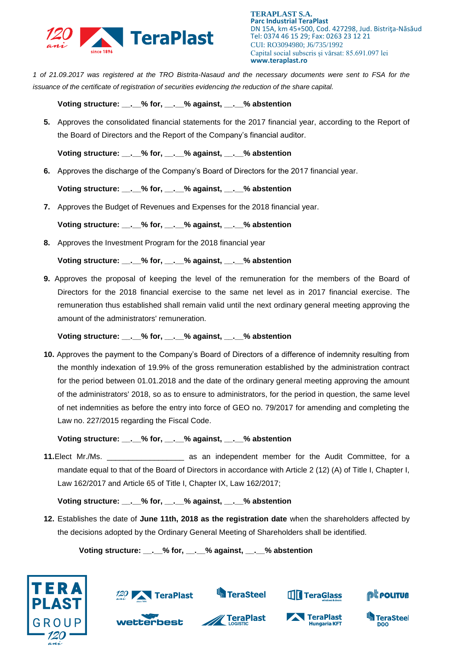

**TERAPLAST S.A. Parc Industrial TeraPlast** DN 15A, km 45+500, Cod. 427298, Jud. Bistriţa-Năsăud Tel: 0374 46 15 29; Fax: 0263 23 12 21 CUI: RO3094980; J6/735/1992 Capital social subscris și vărsat: 85.691.097 lei **www.teraplast.ro**

*1 of 21.09.2017 was registered at the TRO Bistrita-Nasaud and the necessary documents were sent to FSA for the issuance of the certificate of registration of securities evidencing the reduction of the share capital.*

**Voting structure: \_\_.\_\_% for, \_\_.\_\_% against, \_\_.\_\_% abstention**

**5.** Approves the consolidated financial statements for the 2017 financial year, according to the Report of the Board of Directors and the Report of the Company's financial auditor.

**Voting structure: \_\_.\_\_% for, \_\_.\_\_% against, \_\_.\_\_% abstention**

**6.** Approves the discharge of the Company's Board of Directors for the 2017 financial year.

**Voting structure: \_\_.\_\_% for, \_\_.\_\_% against, \_\_.\_\_% abstention**

**7.** Approves the Budget of Revenues and Expenses for the 2018 financial year.

**Voting structure: \_\_.\_\_% for, \_\_.\_\_% against, \_\_.\_\_% abstention**

**8.** Approves the Investment Program for the 2018 financial year

**Voting structure: \_\_.\_\_% for, \_\_.\_\_% against, \_\_.\_\_% abstention**

**9.** Approves the proposal of keeping the level of the remuneration for the members of the Board of Directors for the 2018 financial exercise to the same net level as in 2017 financial exercise. The remuneration thus established shall remain valid until the next ordinary general meeting approving the amount of the administrators' remuneration.

**Voting structure: \_\_.\_\_% for, \_\_.\_\_% against, \_\_.\_\_% abstention**

**10.** Approves the payment to the Company's Board of Directors of a difference of indemnity resulting from the monthly indexation of 19.9% of the gross remuneration established by the administration contract for the period between 01.01.2018 and the date of the ordinary general meeting approving the amount of the administrators' 2018, so as to ensure to administrators, for the period in question, the same level of net indemnities as before the entry into force of GEO no. 79/2017 for amending and completing the Law no. 227/2015 regarding the Fiscal Code.

**Voting structure: \_\_.\_\_% for, \_\_.\_\_% against, \_\_.\_\_% abstention**

**11.**Elect Mr./Ms. \_\_\_\_\_\_\_\_\_\_\_\_\_\_\_\_\_\_ as an independent member for the Audit Committee, for a mandate equal to that of the Board of Directors in accordance with Article 2 (12) (A) of Title I, Chapter I, Law 162/2017 and Article 65 of Title I, Chapter IX, Law 162/2017;

**Voting structure: \_\_.\_\_% for, \_\_.\_\_% against, \_\_.\_\_% abstention**

**12.** Establishes the date of **June 11th, 2018 as the registration date** when the shareholders affected by the decisions adopted by the Ordinary General Meeting of Shareholders shall be identified.

**Voting structure: \_\_.\_\_% for, \_\_.\_\_% against, \_\_.\_\_% abstention**





wetterbest



**TeraPlast** 



TeraPlast

**Hungaria KFT**